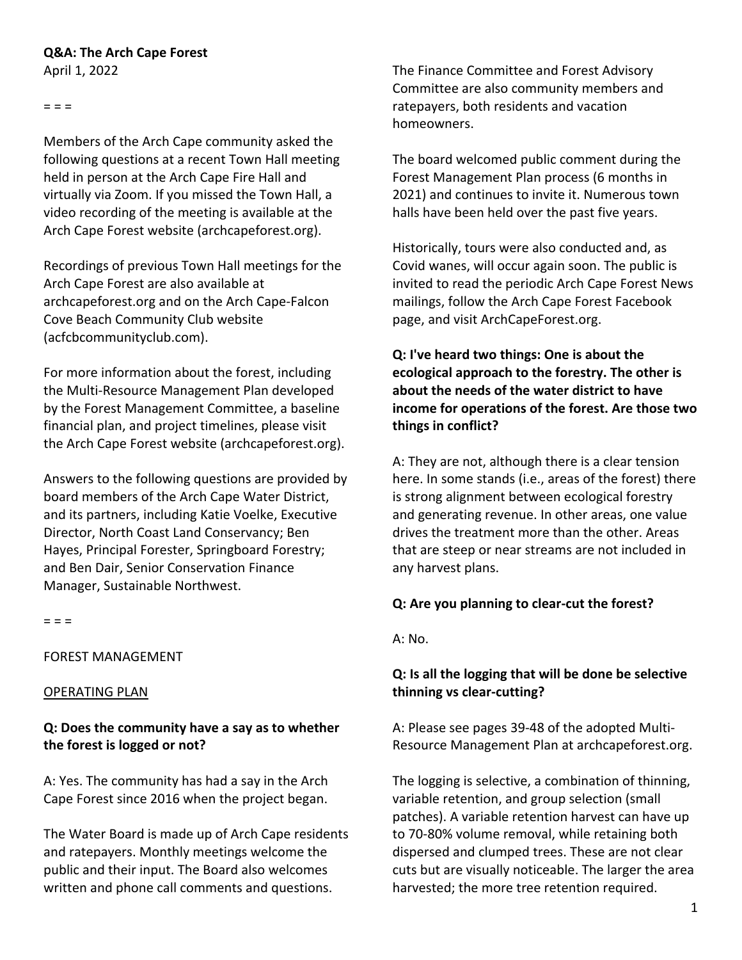# **Q&A: The Arch Cape Forest**

April 1, 2022

 $=$   $=$   $=$ 

Members of the Arch Cape community asked the following questions at a recent Town Hall meeting held in person at the Arch Cape Fire Hall and virtually via Zoom. If you missed the Town Hall, a video recording of the meeting is available at the Arch Cape Forest website (archcapeforest.org).

Recordings of previous Town Hall meetings for the Arch Cape Forest are also available at archcapeforest.org and on the Arch Cape-Falcon Cove Beach Community Club website (acfcbcommunityclub.com).

For more information about the forest, including the Multi-Resource Management Plan developed by the Forest Management Committee, a baseline financial plan, and project timelines, please visit the Arch Cape Forest website (archcapeforest.org).

Answers to the following questions are provided by board members of the Arch Cape Water District, and its partners, including Katie Voelke, Executive Director, North Coast Land Conservancy; Ben Hayes, Principal Forester, Springboard Forestry; and Ben Dair, Senior Conservation Finance Manager, Sustainable Northwest.

 $=$   $=$   $=$ 

#### FOREST MANAGEMENT

#### OPERATING PLAN

### **Q: Does the community have a say as to whether the forest is logged or not?**

A: Yes. The community has had a say in the Arch Cape Forest since 2016 when the project began.

The Water Board is made up of Arch Cape residents and ratepayers. Monthly meetings welcome the public and their input. The Board also welcomes written and phone call comments and questions.

The Finance Committee and Forest Advisory Committee are also community members and ratepayers, both residents and vacation homeowners.

The board welcomed public comment during the Forest Management Plan process (6 months in 2021) and continues to invite it. Numerous town halls have been held over the past five years.

Historically, tours were also conducted and, as Covid wanes, will occur again soon. The public is invited to read the periodic Arch Cape Forest News mailings, follow the Arch Cape Forest Facebook page, and visit ArchCapeForest.org.

# **Q: I've heard two things: One is about the ecological approach to the forestry. The other is about the needs of the water district to have income for operations of the forest. Are those two things in conflict?**

A: They are not, although there is a clear tension here. In some stands (i.e., areas of the forest) there is strong alignment between ecological forestry and generating revenue. In other areas, one value drives the treatment more than the other. Areas that are steep or near streams are not included in any harvest plans.

#### **Q: Are you planning to clear-cut the forest?**

A: No.

### **Q: Is all the logging that will be done be selective thinning vs clear-cutting?**

A: Please see pages 39-48 of the adopted Multi-Resource Management Plan at archcapeforest.org.

The logging is selective, a combination of thinning, variable retention, and group selection (small patches). A variable retention harvest can have up to 70-80% volume removal, while retaining both dispersed and clumped trees. These are not clear cuts but are visually noticeable. The larger the area harvested; the more tree retention required.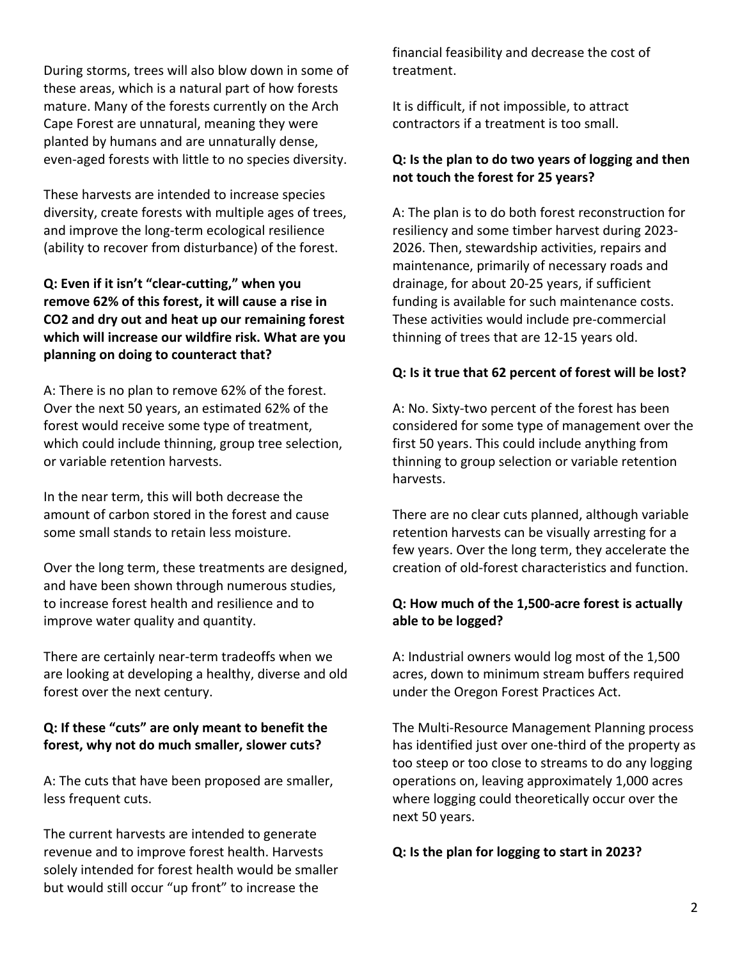During storms, trees will also blow down in some of these areas, which is a natural part of how forests mature. Many of the forests currently on the Arch Cape Forest are unnatural, meaning they were planted by humans and are unnaturally dense, even-aged forests with little to no species diversity.

These harvests are intended to increase species diversity, create forests with multiple ages of trees, and improve the long-term ecological resilience (ability to recover from disturbance) of the forest.

# **Q: Even if it isn't "clear-cutting," when you remove 62% of this forest, it will cause a rise in CO2 and dry out and heat up our remaining forest which will increase our wildfire risk. What are you planning on doing to counteract that?**

A: There is no plan to remove 62% of the forest. Over the next 50 years, an estimated 62% of the forest would receive some type of treatment, which could include thinning, group tree selection, or variable retention harvests.

In the near term, this will both decrease the amount of carbon stored in the forest and cause some small stands to retain less moisture.

Over the long term, these treatments are designed, and have been shown through numerous studies, to increase forest health and resilience and to improve water quality and quantity.

There are certainly near-term tradeoffs when we are looking at developing a healthy, diverse and old forest over the next century.

# **Q: If these "cuts" are only meant to benefit the forest, why not do much smaller, slower cuts?**

A: The cuts that have been proposed are smaller, less frequent cuts.

The current harvests are intended to generate revenue and to improve forest health. Harvests solely intended for forest health would be smaller but would still occur "up front" to increase the

financial feasibility and decrease the cost of treatment.

It is difficult, if not impossible, to attract contractors if a treatment is too small.

# **Q: Is the plan to do two years of logging and then not touch the forest for 25 years?**

A: The plan is to do both forest reconstruction for resiliency and some timber harvest during 2023- 2026. Then, stewardship activities, repairs and maintenance, primarily of necessary roads and drainage, for about 20-25 years, if sufficient funding is available for such maintenance costs. These activities would include pre-commercial thinning of trees that are 12-15 years old.

### **Q: Is it true that 62 percent of forest will be lost?**

A: No. Sixty-two percent of the forest has been considered for some type of management over the first 50 years. This could include anything from thinning to group selection or variable retention harvests.

There are no clear cuts planned, although variable retention harvests can be visually arresting for a few years. Over the long term, they accelerate the creation of old-forest characteristics and function.

### **Q: How much of the 1,500-acre forest is actually able to be logged?**

A: Industrial owners would log most of the 1,500 acres, down to minimum stream buffers required under the Oregon Forest Practices Act.

The Multi-Resource Management Planning process has identified just over one-third of the property as too steep or too close to streams to do any logging operations on, leaving approximately 1,000 acres where logging could theoretically occur over the next 50 years.

#### **Q: Is the plan for logging to start in 2023?**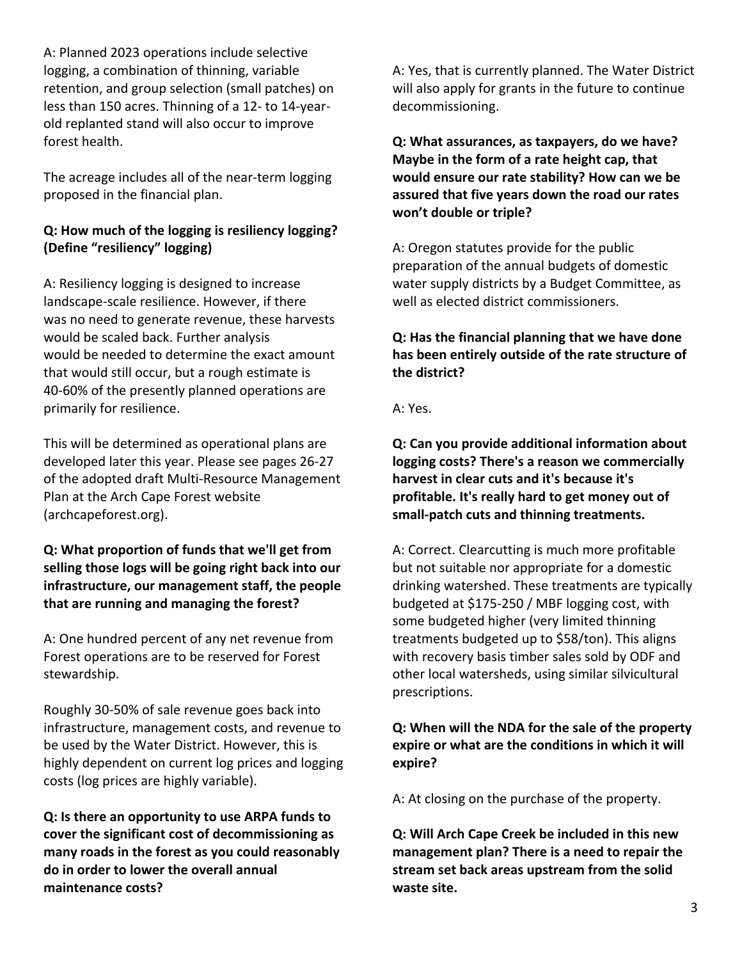A: Planned 2023 operations include selective logging, a combination of thinning, variable retention, and group selection (small patches) on less than 150 acres. Thinning of a 12- to 14-yearold replanted stand will also occur to improve forest health.

The acreage includes all of the near-term logging proposed in the financial plan.

# **Q: How much of the logging is resiliency logging? (Define "resiliency" logging)**

A: Resiliency logging is designed to increase landscape-scale resilience. However, if there was no need to generate revenue, these harvests would be scaled back. Further analysis would be needed to determine the exact amount that would still occur, but a rough estimate is 40-60% of the presently planned operations are primarily for resilience.

This will be determined as operational plans are developed later this year. Please see pages 26-27 of the adopted draft Multi-Resource Management Plan at the Arch Cape Forest website (archcapeforest.org).

### **Q: What proportion of funds that we'll get from selling those logs will be going right back into our infrastructure, our management staff, the people that are running and managing the forest?**

A: One hundred percent of any net revenue from Forest operations are to be reserved for Forest stewardship.

Roughly 30-50% of sale revenue goes back into infrastructure, management costs, and revenue to be used by the Water District. However, this is highly dependent on current log prices and logging costs (log prices are highly variable).

**Q: Is there an opportunity to use ARPA funds to cover the significant cost of decommissioning as many roads in the forest as you could reasonably do in order to lower the overall annual maintenance costs?**

A: Yes, that is currently planned. The Water District will also apply for grants in the future to continue decommissioning.

**Q: What assurances, as taxpayers, do we have? Maybe in the form of a rate height cap, that would ensure our rate stability? How can we be assured that five years down the road our rates won't double or triple?**

A: Oregon statutes provide for the public preparation of the annual budgets of domestic water supply districts by a Budget Committee, as well as elected district commissioners.

# **Q: Has the financial planning that we have done has been entirely outside of the rate structure of the district?**

A: Yes.

**Q: Can you provide additional information about logging costs? There's a reason we commercially harvest in clear cuts and it's because it's profitable. It's really hard to get money out of small-patch cuts and thinning treatments.**

A: Correct. Clearcutting is much more profitable but not suitable nor appropriate for a domestic drinking watershed. These treatments are typically budgeted at \$175-250 / MBF logging cost, with some budgeted higher (very limited thinning treatments budgeted up to \$58/ton). This aligns with recovery basis timber sales sold by ODF and other local watersheds, using similar silvicultural prescriptions.

# **Q: When will the NDA for the sale of the property expire or what are the conditions in which it will expire?**

A: At closing on the purchase of the property.

**Q: Will Arch Cape Creek be included in this new management plan? There is a need to repair the stream set back areas upstream from the solid waste site.**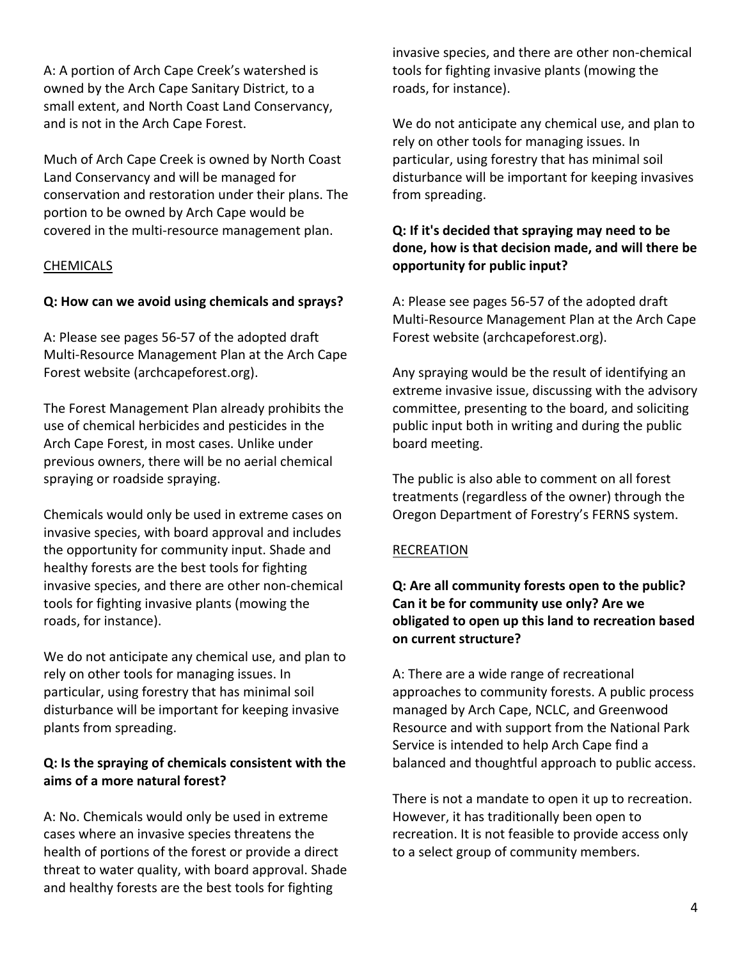A: A portion of Arch Cape Creek's watershed is owned by the Arch Cape Sanitary District, to a small extent, and North Coast Land Conservancy, and is not in the Arch Cape Forest.

Much of Arch Cape Creek is owned by North Coast Land Conservancy and will be managed for conservation and restoration under their plans. The portion to be owned by Arch Cape would be covered in the multi-resource management plan.

### **CHEMICALS**

#### **Q: How can we avoid using chemicals and sprays?**

A: Please see pages 56-57 of the adopted draft Multi-Resource Management Plan at the Arch Cape Forest website (archcapeforest.org).

The Forest Management Plan already prohibits the use of chemical herbicides and pesticides in the Arch Cape Forest, in most cases. Unlike under previous owners, there will be no aerial chemical spraying or roadside spraying.

Chemicals would only be used in extreme cases on invasive species, with board approval and includes the opportunity for community input. Shade and healthy forests are the best tools for fighting invasive species, and there are other non-chemical tools for fighting invasive plants (mowing the roads, for instance).

We do not anticipate any chemical use, and plan to rely on other tools for managing issues. In particular, using forestry that has minimal soil disturbance will be important for keeping invasive plants from spreading.

### **Q: Is the spraying of chemicals consistent with the aims of a more natural forest?**

A: No. Chemicals would only be used in extreme cases where an invasive species threatens the health of portions of the forest or provide a direct threat to water quality, with board approval. Shade and healthy forests are the best tools for fighting

invasive species, and there are other non-chemical tools for fighting invasive plants (mowing the roads, for instance).

We do not anticipate any chemical use, and plan to rely on other tools for managing issues. In particular, using forestry that has minimal soil disturbance will be important for keeping invasives from spreading.

# **Q: If it's decided that spraying may need to be done, how is that decision made, and will there be opportunity for public input?**

A: Please see pages 56-57 of the adopted draft Multi-Resource Management Plan at the Arch Cape Forest website (archcapeforest.org).

Any spraying would be the result of identifying an extreme invasive issue, discussing with the advisory committee, presenting to the board, and soliciting public input both in writing and during the public board meeting.

The public is also able to comment on all forest treatments (regardless of the owner) through the Oregon Department of Forestry's FERNS system.

#### RECREATION

### **Q: Are all community forests open to the public? Can it be for community use only? Are we obligated to open up this land to recreation based on current structure?**

A: There are a wide range of recreational approaches to community forests. A public process managed by Arch Cape, NCLC, and Greenwood Resource and with support from the National Park Service is intended to help Arch Cape find a balanced and thoughtful approach to public access.

There is not a mandate to open it up to recreation. However, it has traditionally been open to recreation. It is not feasible to provide access only to a select group of community members.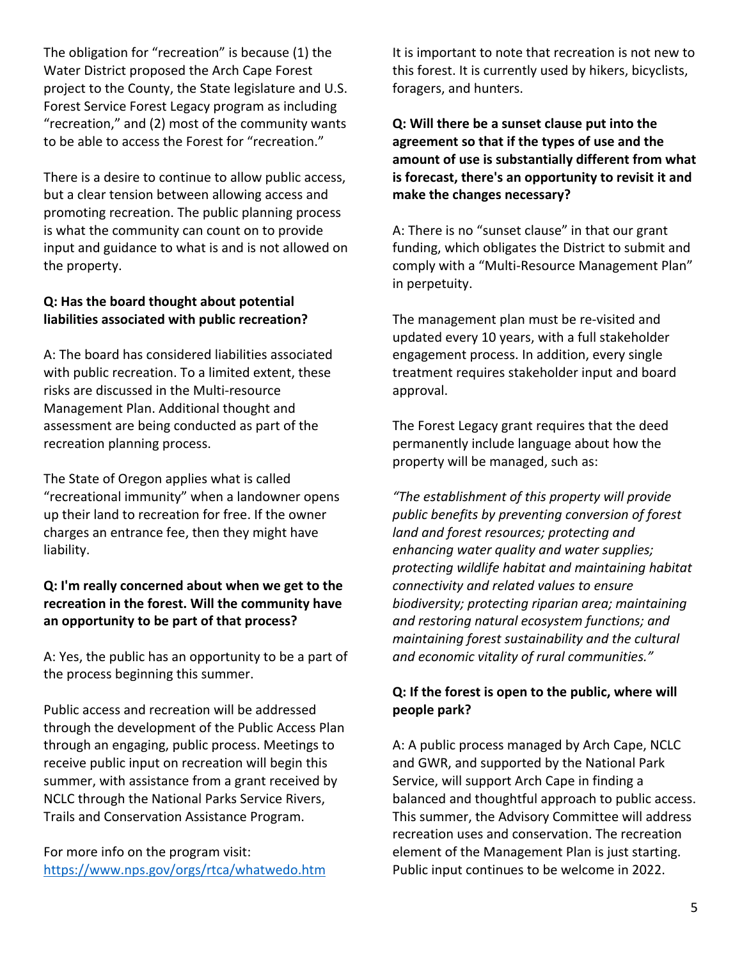The obligation for "recreation" is because (1) the Water District proposed the Arch Cape Forest project to the County, the State legislature and U.S. Forest Service Forest Legacy program as including "recreation," and (2) most of the community wants to be able to access the Forest for "recreation."

There is a desire to continue to allow public access, but a clear tension between allowing access and promoting recreation. The public planning process is what the community can count on to provide input and guidance to what is and is not allowed on the property.

### **Q: Has the board thought about potential liabilities associated with public recreation?**

A: The board has considered liabilities associated with public recreation. To a limited extent, these risks are discussed in the Multi-resource Management Plan. Additional thought and assessment are being conducted as part of the recreation planning process.

The State of Oregon applies what is called "recreational immunity" when a landowner opens up their land to recreation for free. If the owner charges an entrance fee, then they might have liability.

### **Q: I'm really concerned about when we get to the recreation in the forest. Will the community have an opportunity to be part of that process?**

A: Yes, the public has an opportunity to be a part of the process beginning this summer.

Public access and recreation will be addressed through the development of the Public Access Plan through an engaging, public process. Meetings to receive public input on recreation will begin this summer, with assistance from a grant received by NCLC through the National Parks Service Rivers, Trails and Conservation Assistance Program.

For more info on the program visit: https://www.nps.gov/orgs/rtca/whatwedo.htm It is important to note that recreation is not new to this forest. It is currently used by hikers, bicyclists, foragers, and hunters.

**Q: Will there be a sunset clause put into the agreement so that if the types of use and the amount of use is substantially different from what is forecast, there's an opportunity to revisit it and make the changes necessary?**

A: There is no "sunset clause" in that our grant funding, which obligates the District to submit and comply with a "Multi-Resource Management Plan" in perpetuity.

The management plan must be re-visited and updated every 10 years, with a full stakeholder engagement process. In addition, every single treatment requires stakeholder input and board approval.

The Forest Legacy grant requires that the deed permanently include language about how the property will be managed, such as:

*"The establishment of this property will provide public benefits by preventing conversion of forest land and forest resources; protecting and enhancing water quality and water supplies; protecting wildlife habitat and maintaining habitat connectivity and related values to ensure biodiversity; protecting riparian area; maintaining and restoring natural ecosystem functions; and maintaining forest sustainability and the cultural and economic vitality of rural communities."*

### **Q: If the forest is open to the public, where will people park?**

A: A public process managed by Arch Cape, NCLC and GWR, and supported by the National Park Service, will support Arch Cape in finding a balanced and thoughtful approach to public access. This summer, the Advisory Committee will address recreation uses and conservation. The recreation element of the Management Plan is just starting. Public input continues to be welcome in 2022.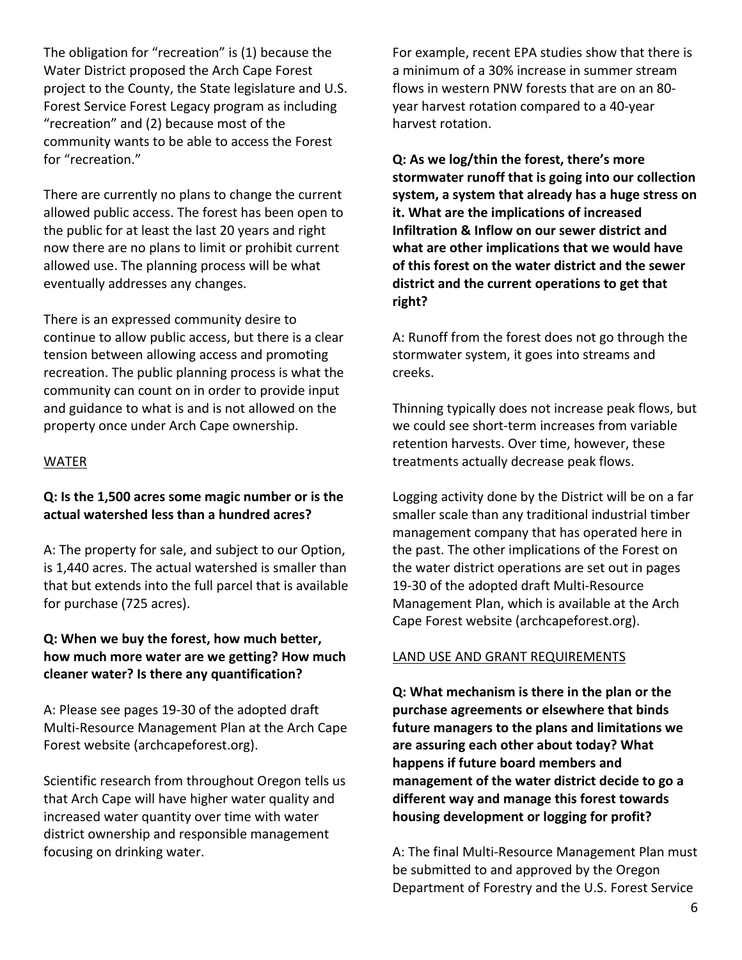The obligation for "recreation" is (1) because the Water District proposed the Arch Cape Forest project to the County, the State legislature and U.S. Forest Service Forest Legacy program as including "recreation" and (2) because most of the community wants to be able to access the Forest for "recreation."

There are currently no plans to change the current allowed public access. The forest has been open to the public for at least the last 20 years and right now there are no plans to limit or prohibit current allowed use. The planning process will be what eventually addresses any changes.

There is an expressed community desire to continue to allow public access, but there is a clear tension between allowing access and promoting recreation. The public planning process is what the community can count on in order to provide input and guidance to what is and is not allowed on the property once under Arch Cape ownership.

#### WATER

#### **Q: Is the 1,500 acres some magic number or is the actual watershed less than a hundred acres?**

A: The property for sale, and subject to our Option, is 1,440 acres. The actual watershed is smaller than that but extends into the full parcel that is available for purchase (725 acres).

#### **Q: When we buy the forest, how much better, how much more water are we getting? How much cleaner water? Is there any quantification?**

A: Please see pages 19-30 of the adopted draft Multi-Resource Management Plan at the Arch Cape Forest website (archcapeforest.org).

Scientific research from throughout Oregon tells us that Arch Cape will have higher water quality and increased water quantity over time with water district ownership and responsible management focusing on drinking water.

For example, recent EPA studies show that there is a minimum of a 30% increase in summer stream flows in western PNW forests that are on an 80 year harvest rotation compared to a 40-year harvest rotation.

**Q: As we log/thin the forest, there's more stormwater runoff that is going into our collection system, a system that already has a huge stress on it. What are the implications of increased Infiltration & Inflow on our sewer district and what are other implications that we would have of this forest on the water district and the sewer district and the current operations to get that right?** 

A: Runoff from the forest does not go through the stormwater system, it goes into streams and creeks.

Thinning typically does not increase peak flows, but we could see short-term increases from variable retention harvests. Over time, however, these treatments actually decrease peak flows.

Logging activity done by the District will be on a far smaller scale than any traditional industrial timber management company that has operated here in the past. The other implications of the Forest on the water district operations are set out in pages 19-30 of the adopted draft Multi-Resource Management Plan, which is available at the Arch Cape Forest website (archcapeforest.org).

#### LAND USE AND GRANT REQUIREMENTS

**Q: What mechanism is there in the plan or the purchase agreements or elsewhere that binds future managers to the plans and limitations we are assuring each other about today? What happens if future board members and management of the water district decide to go a different way and manage this forest towards housing development or logging for profit?**

A: The final Multi-Resource Management Plan must be submitted to and approved by the Oregon Department of Forestry and the U.S. Forest Service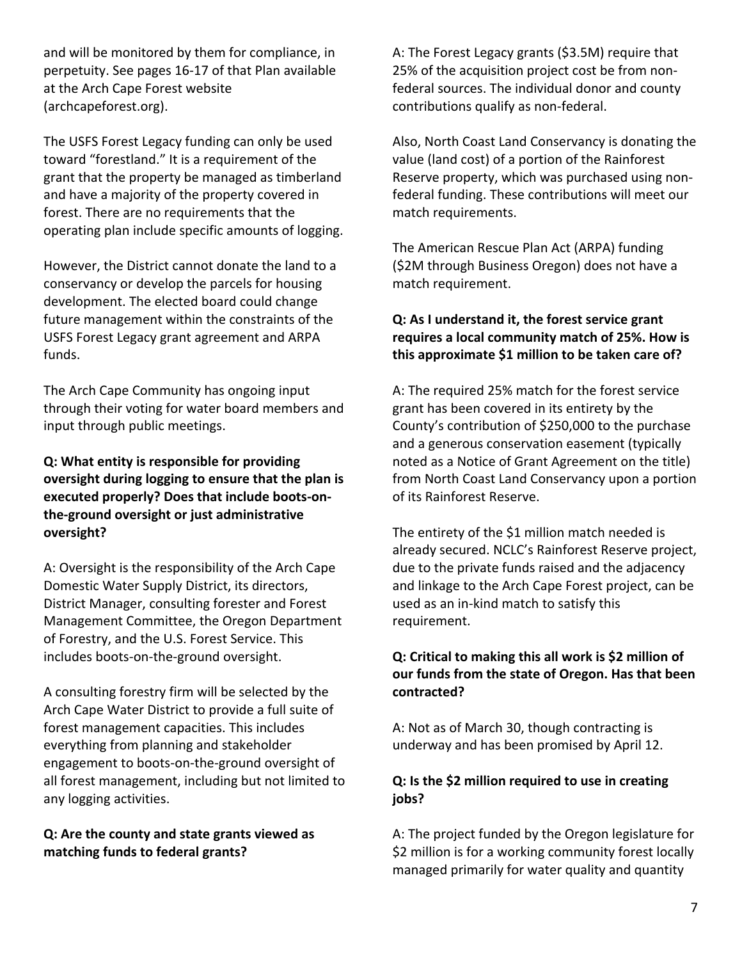and will be monitored by them for compliance, in perpetuity. See pages 16-17 of that Plan available at the Arch Cape Forest website (archcapeforest.org).

The USFS Forest Legacy funding can only be used toward "forestland." It is a requirement of the grant that the property be managed as timberland and have a majority of the property covered in forest. There are no requirements that the operating plan include specific amounts of logging.

However, the District cannot donate the land to a conservancy or develop the parcels for housing development. The elected board could change future management within the constraints of the USFS Forest Legacy grant agreement and ARPA funds.

The Arch Cape Community has ongoing input through their voting for water board members and input through public meetings.

**Q: What entity is responsible for providing oversight during logging to ensure that the plan is executed properly? Does that include boots-onthe-ground oversight or just administrative oversight?**

A: Oversight is the responsibility of the Arch Cape Domestic Water Supply District, its directors, District Manager, consulting forester and Forest Management Committee, the Oregon Department of Forestry, and the U.S. Forest Service. This includes boots-on-the-ground oversight.

A consulting forestry firm will be selected by the Arch Cape Water District to provide a full suite of forest management capacities. This includes everything from planning and stakeholder engagement to boots-on-the-ground oversight of all forest management, including but not limited to any logging activities.

**Q: Are the county and state grants viewed as matching funds to federal grants?**

A: The Forest Legacy grants (\$3.5M) require that 25% of the acquisition project cost be from nonfederal sources. The individual donor and county contributions qualify as non-federal.

Also, North Coast Land Conservancy is donating the value (land cost) of a portion of the Rainforest Reserve property, which was purchased using nonfederal funding. These contributions will meet our match requirements.

The American Rescue Plan Act (ARPA) funding (\$2M through Business Oregon) does not have a match requirement.

# **Q: As I understand it, the forest service grant requires a local community match of 25%. How is this approximate \$1 million to be taken care of?**

A: The required 25% match for the forest service grant has been covered in its entirety by the County's contribution of \$250,000 to the purchase and a generous conservation easement (typically noted as a Notice of Grant Agreement on the title) from North Coast Land Conservancy upon a portion of its Rainforest Reserve.

The entirety of the \$1 million match needed is already secured. NCLC's Rainforest Reserve project, due to the private funds raised and the adjacency and linkage to the Arch Cape Forest project, can be used as an in-kind match to satisfy this requirement.

### **Q: Critical to making this all work is \$2 million of our funds from the state of Oregon. Has that been contracted?**

A: Not as of March 30, though contracting is underway and has been promised by April 12.

# **Q: Is the \$2 million required to use in creating jobs?**

A: The project funded by the Oregon legislature for \$2 million is for a working community forest locally managed primarily for water quality and quantity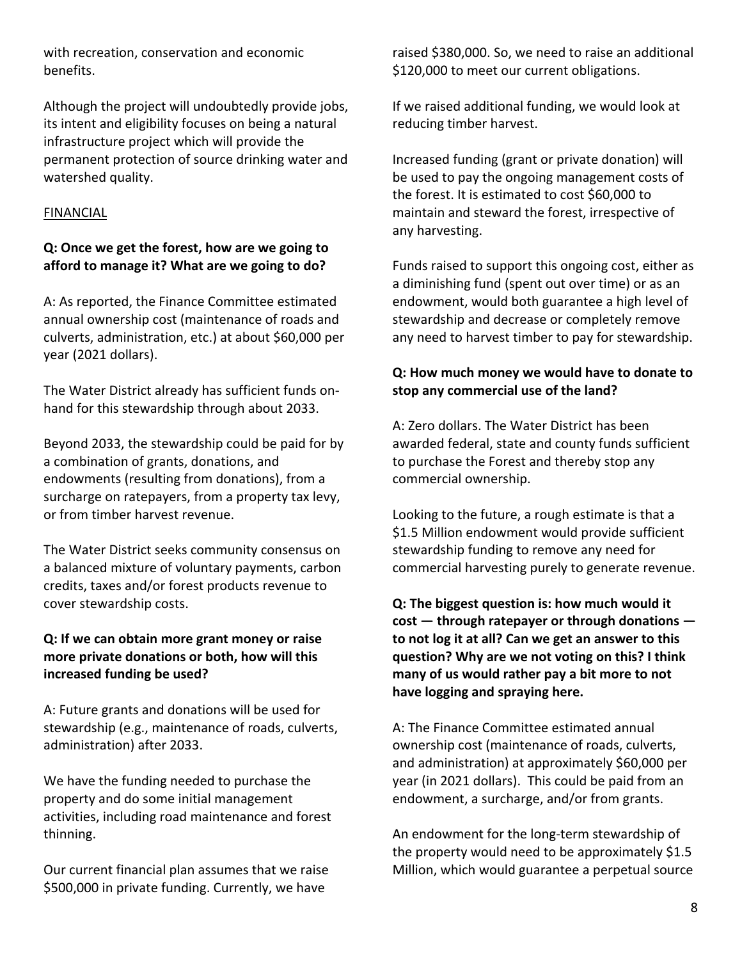with recreation, conservation and economic benefits.

Although the project will undoubtedly provide jobs, its intent and eligibility focuses on being a natural infrastructure project which will provide the permanent protection of source drinking water and watershed quality.

#### FINANCIAL

### **Q: Once we get the forest, how are we going to afford to manage it? What are we going to do?**

A: As reported, the Finance Committee estimated annual ownership cost (maintenance of roads and culverts, administration, etc.) at about \$60,000 per year (2021 dollars).

The Water District already has sufficient funds onhand for this stewardship through about 2033.

Beyond 2033, the stewardship could be paid for by a combination of grants, donations, and endowments (resulting from donations), from a surcharge on ratepayers, from a property tax levy, or from timber harvest revenue.

The Water District seeks community consensus on a balanced mixture of voluntary payments, carbon credits, taxes and/or forest products revenue to cover stewardship costs.

#### **Q: If we can obtain more grant money or raise more private donations or both, how will this increased funding be used?**

A: Future grants and donations will be used for stewardship (e.g., maintenance of roads, culverts, administration) after 2033.

We have the funding needed to purchase the property and do some initial management activities, including road maintenance and forest thinning.

Our current financial plan assumes that we raise \$500,000 in private funding. Currently, we have

raised \$380,000. So, we need to raise an additional \$120,000 to meet our current obligations.

If we raised additional funding, we would look at reducing timber harvest.

Increased funding (grant or private donation) will be used to pay the ongoing management costs of the forest. It is estimated to cost \$60,000 to maintain and steward the forest, irrespective of any harvesting.

Funds raised to support this ongoing cost, either as a diminishing fund (spent out over time) or as an endowment, would both guarantee a high level of stewardship and decrease or completely remove any need to harvest timber to pay for stewardship.

### **Q: How much money we would have to donate to stop any commercial use of the land?**

A: Zero dollars. The Water District has been awarded federal, state and county funds sufficient to purchase the Forest and thereby stop any commercial ownership.

Looking to the future, a rough estimate is that a \$1.5 Million endowment would provide sufficient stewardship funding to remove any need for commercial harvesting purely to generate revenue.

**Q: The biggest question is: how much would it cost — through ratepayer or through donations to not log it at all? Can we get an answer to this question? Why are we not voting on this? I think many of us would rather pay a bit more to not have logging and spraying here.**

A: The Finance Committee estimated annual ownership cost (maintenance of roads, culverts, and administration) at approximately \$60,000 per year (in 2021 dollars). This could be paid from an endowment, a surcharge, and/or from grants.

An endowment for the long-term stewardship of the property would need to be approximately \$1.5 Million, which would guarantee a perpetual source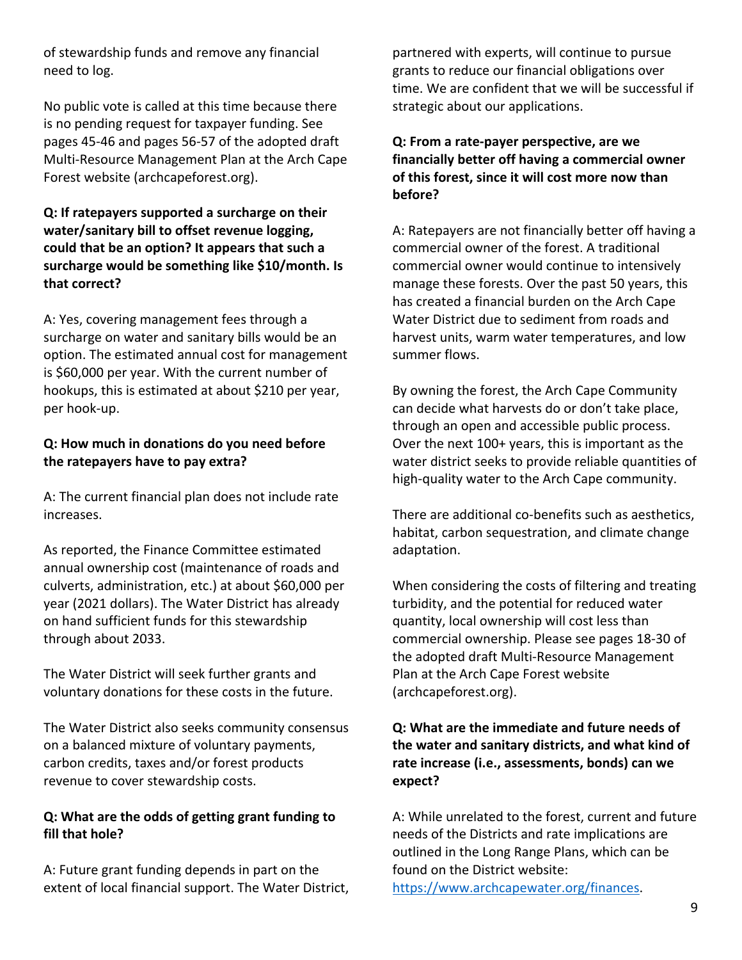of stewardship funds and remove any financial need to log.

No public vote is called at this time because there is no pending request for taxpayer funding. See pages 45-46 and pages 56-57 of the adopted draft Multi-Resource Management Plan at the Arch Cape Forest website (archcapeforest.org).

#### **Q: If ratepayers supported a surcharge on their water/sanitary bill to offset revenue logging, could that be an option? It appears that such a surcharge would be something like \$10/month. Is that correct?**

A: Yes, covering management fees through a surcharge on water and sanitary bills would be an option. The estimated annual cost for management is \$60,000 per year. With the current number of hookups, this is estimated at about \$210 per year, per hook-up.

### **Q: How much in donations do you need before the ratepayers have to pay extra?**

A: The current financial plan does not include rate increases.

As reported, the Finance Committee estimated annual ownership cost (maintenance of roads and culverts, administration, etc.) at about \$60,000 per year (2021 dollars). The Water District has already on hand sufficient funds for this stewardship through about 2033.

The Water District will seek further grants and voluntary donations for these costs in the future.

The Water District also seeks community consensus on a balanced mixture of voluntary payments, carbon credits, taxes and/or forest products revenue to cover stewardship costs.

#### **Q: What are the odds of getting grant funding to fill that hole?**

A: Future grant funding depends in part on the extent of local financial support. The Water District, partnered with experts, will continue to pursue grants to reduce our financial obligations over time. We are confident that we will be successful if strategic about our applications.

### **Q: From a rate-payer perspective, are we financially better off having a commercial owner of this forest, since it will cost more now than before?**

A: Ratepayers are not financially better off having a commercial owner of the forest. A traditional commercial owner would continue to intensively manage these forests. Over the past 50 years, this has created a financial burden on the Arch Cape Water District due to sediment from roads and harvest units, warm water temperatures, and low summer flows.

By owning the forest, the Arch Cape Community can decide what harvests do or don't take place, through an open and accessible public process. Over the next 100+ years, this is important as the water district seeks to provide reliable quantities of high-quality water to the Arch Cape community.

There are additional co-benefits such as aesthetics, habitat, carbon sequestration, and climate change adaptation.

When considering the costs of filtering and treating turbidity, and the potential for reduced water quantity, local ownership will cost less than commercial ownership. Please see pages 18-30 of the adopted draft Multi-Resource Management Plan at the Arch Cape Forest website (archcapeforest.org).

# **Q: What are the immediate and future needs of the water and sanitary districts, and what kind of rate increase (i.e., assessments, bonds) can we expect?**

A: While unrelated to the forest, current and future needs of the Districts and rate implications are outlined in the Long Range Plans, which can be found on the District website: https://www.archcapewater.org/finances.